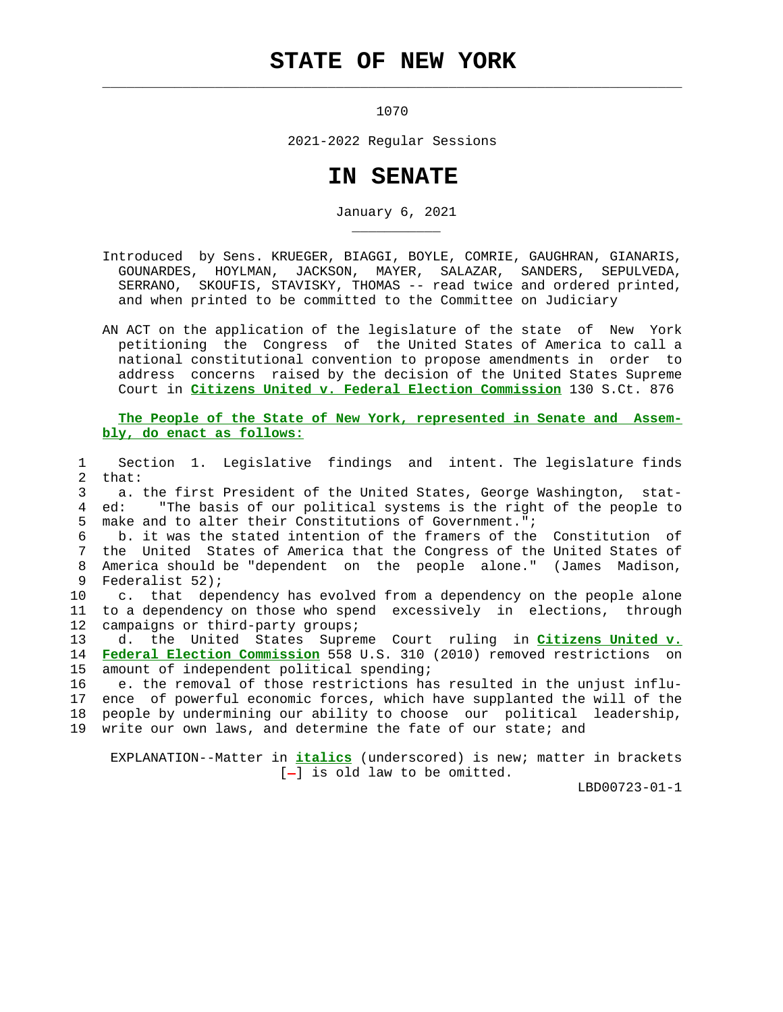## **STATE OF NEW YORK**

 $\mathcal{L}_\text{max} = \frac{1}{2} \sum_{i=1}^{n} \frac{1}{2} \sum_{i=1}^{n} \frac{1}{2} \sum_{i=1}^{n} \frac{1}{2} \sum_{i=1}^{n} \frac{1}{2} \sum_{i=1}^{n} \frac{1}{2} \sum_{i=1}^{n} \frac{1}{2} \sum_{i=1}^{n} \frac{1}{2} \sum_{i=1}^{n} \frac{1}{2} \sum_{i=1}^{n} \frac{1}{2} \sum_{i=1}^{n} \frac{1}{2} \sum_{i=1}^{n} \frac{1}{2} \sum_{i=1}^{n} \frac{1$ 

\_\_\_\_\_\_\_\_\_\_\_

1070

2021-2022 Regular Sessions

## **IN SENATE**

January 6, 2021

 Introduced by Sens. KRUEGER, BIAGGI, BOYLE, COMRIE, GAUGHRAN, GIANARIS, GOUNARDES, HOYLMAN, JACKSON, MAYER, SALAZAR, SANDERS, SEPULVEDA, SERRANO, SKOUFIS, STAVISKY, THOMAS -- read twice and ordered printed, and when printed to be committed to the Committee on Judiciary

 AN ACT on the application of the legislature of the state of New York petitioning the Congress of the United States of America to call a national constitutional convention to propose amendments in order to address concerns raised by the decision of the United States Supreme Court in **Citizens United v. Federal Election Commission** 130 S.Ct. 876

 **The People of the State of New York, represented in Senate and Assem bly, do enact as follows:**

 1 Section 1. Legislative findings and intent. The legislature finds 2 that:

 3 a. the first President of the United States, George Washington, stat- 4 ed: "The basis of our political systems is the right of the people to 5 make and to alter their Constitutions of Government.";

 6 b. it was the stated intention of the framers of the Constitution of 7 the United States of America that the Congress of the United States of 8 America should be "dependent on the people alone." (James Madison, 9 Federalist 52);

 10 c. that dependency has evolved from a dependency on the people alone 11 to a dependency on those who spend excessively in elections, through 12 campaigns or third-party groups;

 13 d. the United States Supreme Court ruling in **Citizens United v.** 14 **Federal Election Commission** 558 U.S. 310 (2010) removed restrictions on 15 amount of independent political spending;

 16 e. the removal of those restrictions has resulted in the unjust influ- 17 ence of powerful economic forces, which have supplanted the will of the 18 people by undermining our ability to choose our political leadership, 19 write our own laws, and determine the fate of our state; and

 EXPLANATION--Matter in **italics** (underscored) is new; matter in brackets  $[-]$  is old law to be omitted.

LBD00723-01-1